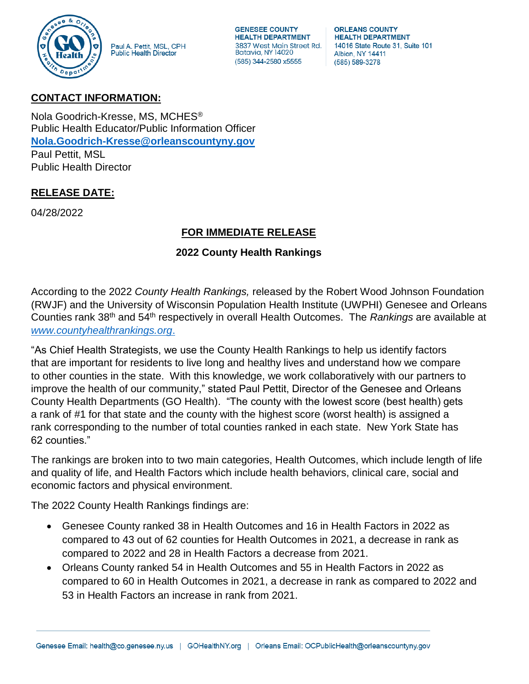

Paul A. Pettit, MSL, CPH Public Health Director

**GENESEE COUNTY HEALTH DEPARTMENT** 3837 West Main Street Rd. Batavia, NY 14020 (585) 344-2580 x5555

**ORLEANS COUNTY HEALTH DEPARTMENT** 14016 State Route 31, Suite 101 Albion, NY 14411 (585) 589-3278

## **CONTACT INFORMATION:**

Nola Goodrich-Kresse, MS, MCHES® Public Health Educator/Public Information Officer **[Nola.Goodrich-Kresse@orleanscountyny.gov](mailto:Nola.Goodrich-Kresse@orleanscountyny.gov)** Paul Pettit, MSL Public Health Director

## **RELEASE DATE:**

04/28/2022

## **FOR IMMEDIATE RELEASE**

## **2022 County Health Rankings**

According to the 2022 *County Health Rankings,* released by the Robert Wood Johnson Foundation (RWJF) and the University of Wisconsin Population Health Institute (UWPHI) Genesee and Orleans Counties rank 38th and 54th respectively in overall Health Outcomes. The *Rankings* are available at *[www.countyhealthrankings.org](http://www.countyhealthrankings.org/)*.

"As Chief Health Strategists, we use the County Health Rankings to help us identify factors that are important for residents to live long and healthy lives and understand how we compare to other counties in the state. With this knowledge, we work collaboratively with our partners to improve the health of our community," stated Paul Pettit, Director of the Genesee and Orleans County Health Departments (GO Health). "The county with the lowest score (best health) gets a rank of #1 for that state and the county with the highest score (worst health) is assigned a rank corresponding to the number of total counties ranked in each state. New York State has 62 counties."

The rankings are broken into to two main categories, Health Outcomes, which include length of life and quality of life, and Health Factors which include health behaviors, clinical care, social and economic factors and physical environment.

The 2022 County Health Rankings findings are:

- Genesee County ranked 38 in Health Outcomes and 16 in Health Factors in 2022 as compared to 43 out of 62 counties for Health Outcomes in 2021, a decrease in rank as compared to 2022 and 28 in Health Factors a decrease from 2021.
- Orleans County ranked 54 in Health Outcomes and 55 in Health Factors in 2022 as compared to 60 in Health Outcomes in 2021, a decrease in rank as compared to 2022 and 53 in Health Factors an increase in rank from 2021.